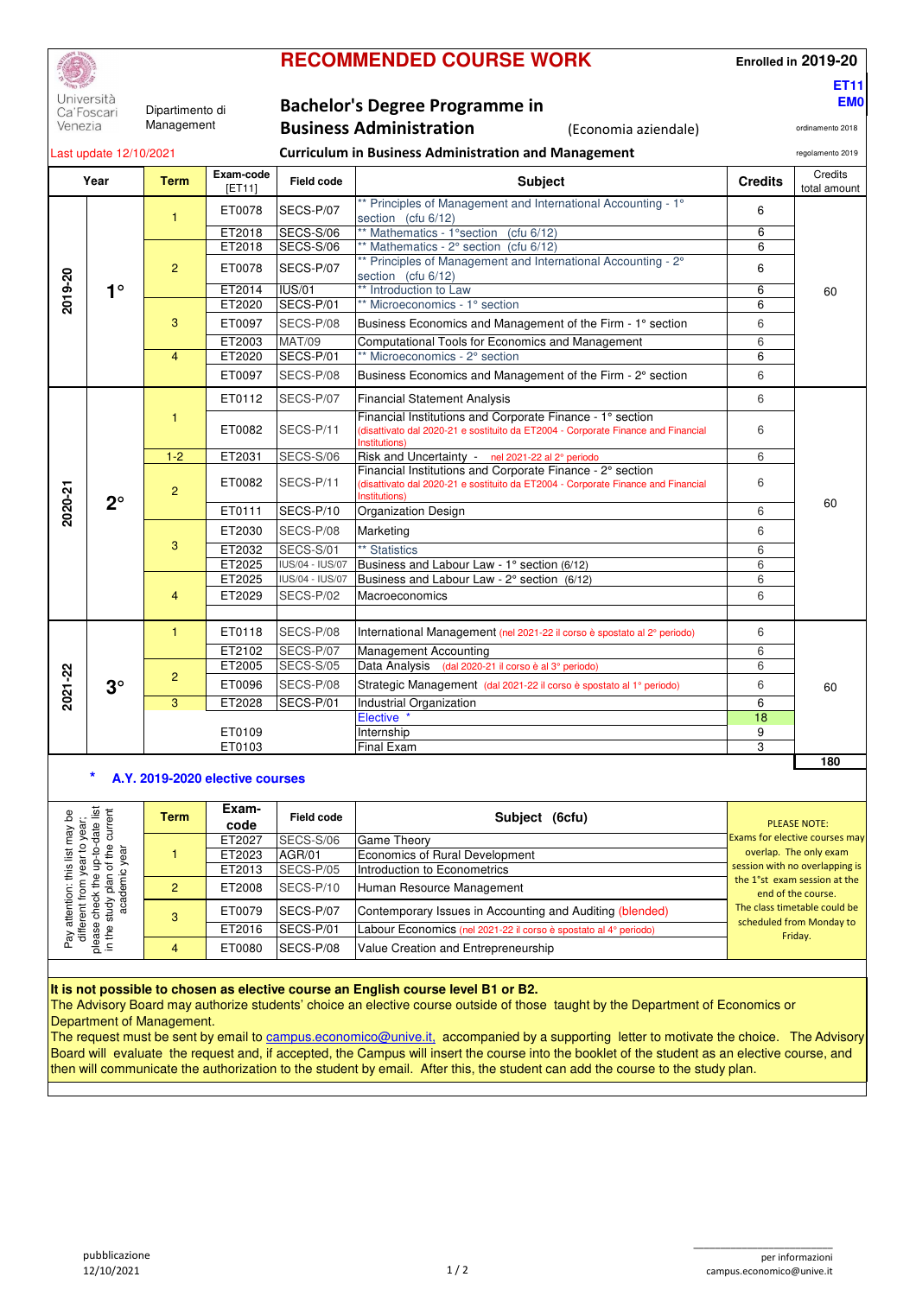|  | <b>RECOMMENDED COURSE WORK</b> |
|--|--------------------------------|
|--|--------------------------------|

**Enrolled in 2019-20**

**ET11 EM0**

ordinamento 2018

Università Ca'Foscari Venezia

Dipartimento di Management

# **Bachelor's Degree Programme in**

# **Business Administration** (Economia aziendale)

| Last update 12/10/2021 |             |                                                                                           |                     | <b>Curriculum in Business Administration and Management</b> |                                                                                                                                                                 |                 |                         |
|------------------------|-------------|-------------------------------------------------------------------------------------------|---------------------|-------------------------------------------------------------|-----------------------------------------------------------------------------------------------------------------------------------------------------------------|-----------------|-------------------------|
|                        | Year        | <b>Term</b>                                                                               | Exam-code<br>[ET11] | Field code                                                  | <b>Subject</b>                                                                                                                                                  | <b>Credits</b>  | Credits<br>total amount |
|                        |             | 1                                                                                         | ET0078              | SECS-P/07                                                   | ** Principles of Management and International Accounting - 1°<br>section (cfu 6/12)                                                                             |                 |                         |
|                        |             |                                                                                           | ET2018              | SECS-S/06                                                   | ** Mathematics - 1° section (cfu 6/12)                                                                                                                          | 6               |                         |
| 2019-20                |             |                                                                                           | ET2018              | SECS-S/06                                                   | ** Mathematics - 2° section (cfu 6/12)                                                                                                                          | 6               |                         |
|                        |             | 2                                                                                         | ET0078              | SECS-P/07                                                   | ** Principles of Management and International Accounting - 2°<br>section (cfu 6/12)                                                                             | 6               |                         |
|                        | $1^{\circ}$ |                                                                                           | ET2014              | <b>IUS/01</b>                                               | ** Introduction to Law                                                                                                                                          | 6               | 60                      |
|                        |             |                                                                                           | ET2020              | SECS-P/01                                                   | ** Microeconomics - 1° section                                                                                                                                  | 6               |                         |
|                        |             | 3                                                                                         | ET0097              | SECS-P/08                                                   | Business Economics and Management of the Firm - 1° section                                                                                                      | 6               |                         |
|                        |             |                                                                                           | ET2003              | <b>MAT/09</b>                                               | Computational Tools for Economics and Management                                                                                                                | 6               |                         |
|                        |             | $\overline{4}$                                                                            | ET2020              | SECS-P/01                                                   | ** Microeconomics - 2° section                                                                                                                                  | 6               |                         |
|                        |             |                                                                                           | ET0097              | SECS-P/08                                                   | Business Economics and Management of the Firm - 2° section                                                                                                      | 6               |                         |
|                        |             |                                                                                           | ET0112              | SECS-P/07                                                   | <b>Financial Statement Analysis</b>                                                                                                                             | 6               |                         |
| 2020-21                |             | $\mathbf{1}$                                                                              | ET0082              | SECS-P/11                                                   | Financial Institutions and Corporate Finance - 1° section<br>(disattivato dal 2020-21 e sostituito da ET2004 - Corporate Finance and Financial<br>Institutions) | 6               |                         |
|                        |             | $1 - 2$<br>ET2031<br><b>SECS-S/06</b><br>Risk and Uncertainty - nel 2021-22 al 2° periodo |                     |                                                             |                                                                                                                                                                 |                 |                         |
|                        | $2^{\circ}$ | $\overline{2}$                                                                            | ET0082              | SECS-P/11                                                   | Financial Institutions and Corporate Finance - 2° section<br>(disattivato dal 2020-21 e sostituito da ET2004 - Corporate Finance and Financial<br>Institutions) | 6               |                         |
|                        |             |                                                                                           | ET0111              | SECS-P/10                                                   | <b>Organization Design</b>                                                                                                                                      | 6               | 60                      |
|                        |             | 3                                                                                         | ET2030              | SECS-P/08                                                   | Marketing                                                                                                                                                       | 6               |                         |
|                        |             |                                                                                           | ET2032              | SECS-S/01                                                   | ** Statistics                                                                                                                                                   | 6               |                         |
|                        |             |                                                                                           | ET2025              | IUS/04 - IUS/07                                             | Business and Labour Law - 1° section (6/12)                                                                                                                     | 6               |                         |
|                        |             |                                                                                           | ET2025              | IUS/04 - IUS/07                                             | Business and Labour Law - 2° section (6/12)                                                                                                                     | 6               |                         |
|                        |             | $\overline{4}$                                                                            | ET2029              | SECS-P/02                                                   | Macroeconomics                                                                                                                                                  | 6               |                         |
|                        |             | $\mathbf{1}$                                                                              | ET0118              | SECS-P/08                                                   | International Management (nel 2021-22 il corso è spostato al 2° periodo)                                                                                        | 6               |                         |
|                        |             |                                                                                           | ET2102              | SECS-P/07                                                   | <b>Management Accounting</b>                                                                                                                                    | 6               |                         |
|                        |             |                                                                                           | ET2005              | SECS-S/05                                                   | Data Analysis (dal 2020-21 il corso è al 3º periodo)                                                                                                            | 6               |                         |
| 2021-22                | $3^\circ$   | $\overline{2}$                                                                            | ET0096              | SECS-P/08                                                   | Strategic Management (dal 2021-22 il corso è spostato al 1º periodo)                                                                                            | 6               | 60                      |
|                        |             | 3                                                                                         | ET2028              | SECS-P/01                                                   | <b>Industrial Organization</b>                                                                                                                                  | 6               |                         |
|                        |             |                                                                                           |                     |                                                             | Elective <sup>*</sup>                                                                                                                                           | $\overline{18}$ |                         |
|                        |             |                                                                                           | ET0109              |                                                             | Internship                                                                                                                                                      | 9               |                         |
|                        |             |                                                                                           | ET0103              |                                                             | <b>Final Exam</b>                                                                                                                                               | 3               |                         |
|                        |             |                                                                                           |                     |                                                             |                                                                                                                                                                 |                 | 180                     |

## **\* A.Y. 2019-2020 elective courses**

| ear;<br>Cear آist<br>ar Filipp<br>Λeι | <b>Term</b> | Exam-<br>code | Field code | Subject (6cfu)                                                   | <b>PLEASE NOTE:</b>                                      |
|---------------------------------------|-------------|---------------|------------|------------------------------------------------------------------|----------------------------------------------------------|
|                                       |             | ET2027        | SECS-S/06  | Game Theory                                                      | <b>Exams for elective courses may</b>                    |
|                                       |             | ET2023        | AGR/01     | Economics of Rural Development                                   | overlap. The only exam                                   |
|                                       |             | ET2013        | SECS-P/05  | Introduction to Econometrics                                     | session with no overlapping is                           |
|                                       |             | ET2008        | SECS-P/10  | Human Resource Management                                        | the 1°st exam session at the<br>end of the course.       |
| atte<br>ਠ<br>ay atte<br>differer<br>焉 |             | ET0079        | SECS-P/07  | Contemporary Issues in Accounting and Auditing (blended)         | The class timetable could be<br>scheduled from Monday to |
|                                       |             | ET2016        | SECS-P/01  | Labour Economics (nel 2021-22 il corso è spostato al 4º periodo) | Friday.                                                  |
| please<br>in the s                    |             | ET0080        | SECS-P/08  | Value Creation and Entrepreneurship                              |                                                          |

#### **It is not possible to chosen as elective course an English course level B1 or B2.**

The Advisory Board may authorize students' choice an elective course outside of those taught by the Department of Economics or Department of Management.

The request must be sent by email to campus.economico@unive.it, accompanied by a supporting letter to motivate the choice. The Advisory Board will evaluate the request and, if accepted, the Campus will insert the course into the booklet of the student as an elective course, and then will communicate the authorization to the student by email. After this, the student can add the course to the study plan.